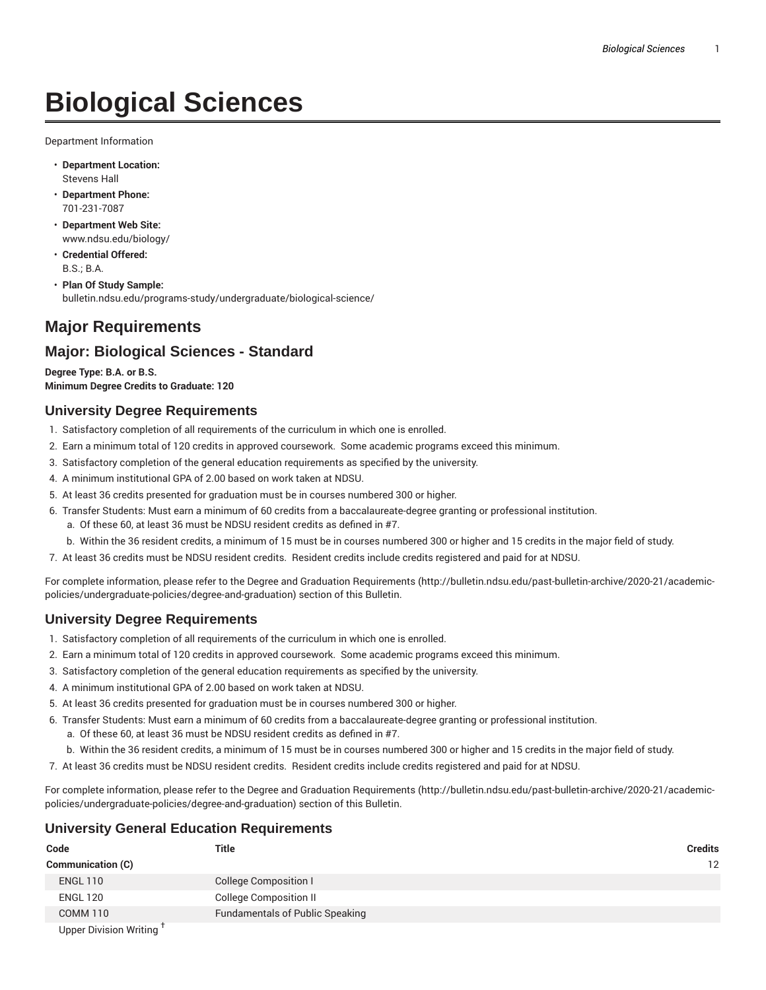# **Biological Sciences**

Department Information

- **Department Location:** Stevens Hall
- **Department Phone:** 701-231-7087
- **Department Web Site:** www.ndsu.edu/biology/
- **Credential Offered:** B.S.; B.A.
- **Plan Of Study Sample:** bulletin.ndsu.edu/programs-study/undergraduate/biological-science/

## **Major Requirements**

### **Major: Biological Sciences - Standard**

**Degree Type: B.A. or B.S. Minimum Degree Credits to Graduate: 120**

#### **University Degree Requirements**

- 1. Satisfactory completion of all requirements of the curriculum in which one is enrolled.
- 2. Earn a minimum total of 120 credits in approved coursework. Some academic programs exceed this minimum.
- 3. Satisfactory completion of the general education requirements as specified by the university.
- 4. A minimum institutional GPA of 2.00 based on work taken at NDSU.
- 5. At least 36 credits presented for graduation must be in courses numbered 300 or higher.
- 6. Transfer Students: Must earn a minimum of 60 credits from a baccalaureate-degree granting or professional institution.
	- a. Of these 60, at least 36 must be NDSU resident credits as defined in #7.
	- b. Within the 36 resident credits, a minimum of 15 must be in courses numbered 300 or higher and 15 credits in the major field of study.
- 7. At least 36 credits must be NDSU resident credits. Resident credits include credits registered and paid for at NDSU.

For complete information, please refer to the Degree and Graduation Requirements (http://bulletin.ndsu.edu/past-bulletin-archive/2020-21/academicpolicies/undergraduate-policies/degree-and-graduation) section of this Bulletin.

#### **University Degree Requirements**

- 1. Satisfactory completion of all requirements of the curriculum in which one is enrolled.
- 2. Earn a minimum total of 120 credits in approved coursework. Some academic programs exceed this minimum.
- 3. Satisfactory completion of the general education requirements as specified by the university.
- 4. A minimum institutional GPA of 2.00 based on work taken at NDSU.
- 5. At least 36 credits presented for graduation must be in courses numbered 300 or higher.
- 6. Transfer Students: Must earn a minimum of 60 credits from a baccalaureate-degree granting or professional institution. a. Of these 60, at least 36 must be NDSU resident credits as defined in #7.
	- b. Within the 36 resident credits, a minimum of 15 must be in courses numbered 300 or higher and 15 credits in the major field of study.
- 7. At least 36 credits must be NDSU resident credits. Resident credits include credits registered and paid for at NDSU.

For complete information, please refer to the Degree and Graduation Requirements (http://bulletin.ndsu.edu/past-bulletin-archive/2020-21/academicpolicies/undergraduate-policies/degree-and-graduation) section of this Bulletin.

#### **University General Education Requirements**

| Code                                | <b>Title</b>                           | <b>Credits</b>    |
|-------------------------------------|----------------------------------------|-------------------|
| <b>Communication (C)</b>            |                                        | $12 \overline{ }$ |
| <b>ENGL 110</b>                     | <b>College Composition I</b>           |                   |
| <b>ENGL 120</b>                     | <b>College Composition II</b>          |                   |
| COMM 110                            | <b>Fundamentals of Public Speaking</b> |                   |
| Upper Division Writing <sup>T</sup> |                                        |                   |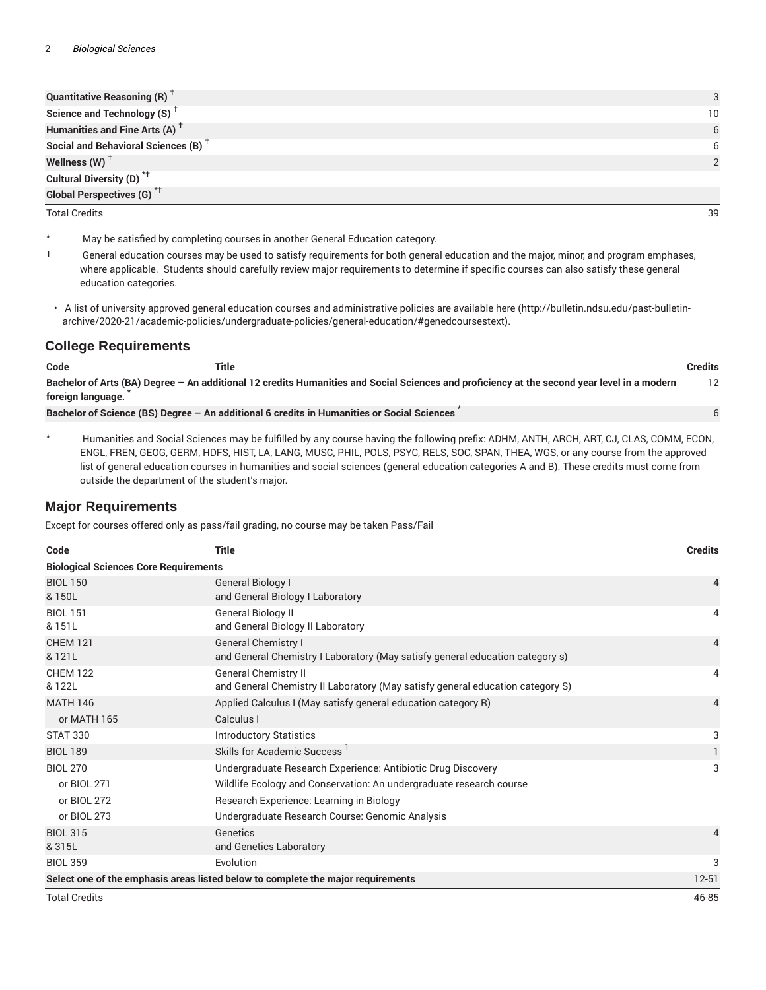| Quantitative Reasoning $(R)$ <sup>T</sup>       | 3  |
|-------------------------------------------------|----|
| Science and Technology (S) <sup>+</sup>         | 10 |
| Humanities and Fine Arts (A) <sup>+</sup>       | 6  |
| Social and Behavioral Sciences (B) <sup>+</sup> | 6  |
| Wellness (W) $^{\dagger}$                       | っ  |
| Cultural Diversity (D) <sup>*†</sup>            |    |
| <b>Global Perspectives (G)</b> <sup>*†</sup>    |    |
| <b>Total Credits</b>                            | 39 |

- \* May be satisfied by completing courses in another General Education category.
- † General education courses may be used to satisfy requirements for both general education and the major, minor, and program emphases, where applicable. Students should carefully review major requirements to determine if specific courses can also satisfy these general education categories.
- A list of university approved general education courses and administrative policies are available here (http://bulletin.ndsu.edu/past-bulletinarchive/2020-21/academic-policies/undergraduate-policies/general-education/#genedcoursestext).

#### **College Requirements**

| Code              | Title                                                                                                                                       | Credits |
|-------------------|---------------------------------------------------------------------------------------------------------------------------------------------|---------|
| foreign language. | Bachelor of Arts (BA) Degree – An additional 12 credits Humanities and Social Sciences and proficiency at the second year level in a modern | 12      |
|                   | Bachelor of Science (BS) Degree - An additional 6 credits in Humanities or Social Sciences                                                  |         |
|                   |                                                                                                                                             |         |

\* Humanities and Social Sciences may be fulfilled by any course having the following prefix: ADHM, ANTH, ARCH, ART, CJ, CLAS, COMM, ECON, ENGL, FREN, GEOG, GERM, HDFS, HIST, LA, LANG, MUSC, PHIL, POLS, PSYC, RELS, SOC, SPAN, THEA, WGS, or any course from the approved list of general education courses in humanities and social sciences (general education categories A and B). These credits must come from outside the department of the student's major.

#### **Major Requirements**

Except for courses offered only as pass/fail grading, no course may be taken Pass/Fail

| Code                                         | <b>Title</b>                                                                                                  | <b>Credits</b> |
|----------------------------------------------|---------------------------------------------------------------------------------------------------------------|----------------|
| <b>Biological Sciences Core Requirements</b> |                                                                                                               |                |
| <b>BIOL 150</b><br>& 150L                    | General Biology I<br>and General Biology I Laboratory                                                         | 4              |
| <b>BIOL 151</b><br>& 151L                    | General Biology II<br>and General Biology II Laboratory                                                       | 4              |
| <b>CHEM 121</b><br>& 121L                    | <b>General Chemistry I</b><br>and General Chemistry I Laboratory (May satisfy general education category s)   | 4              |
| <b>CHEM 122</b><br>& 122L                    | <b>General Chemistry II</b><br>and General Chemistry II Laboratory (May satisfy general education category S) | 4              |
| <b>MATH 146</b><br>or MATH 165               | Applied Calculus I (May satisfy general education category R)<br>Calculus I                                   | 4              |
| <b>STAT 330</b>                              | <b>Introductory Statistics</b>                                                                                | 3              |
| <b>BIOL 189</b>                              | Skills for Academic Success                                                                                   |                |
| <b>BIOL 270</b>                              | Undergraduate Research Experience: Antibiotic Drug Discovery                                                  | 3              |
| or BIOL 271                                  | Wildlife Ecology and Conservation: An undergraduate research course                                           |                |
| or BIOL 272                                  | Research Experience: Learning in Biology                                                                      |                |
| or BIOL 273                                  | Undergraduate Research Course: Genomic Analysis                                                               |                |
| <b>BIOL 315</b><br>& 315L                    | Genetics<br>and Genetics Laboratory                                                                           | 4              |
| <b>BIOL 359</b>                              | Evolution                                                                                                     | 3              |
|                                              | Select one of the emphasis areas listed below to complete the major requirements                              | $12 - 51$      |
| <b>Total Credits</b>                         |                                                                                                               | 46-85          |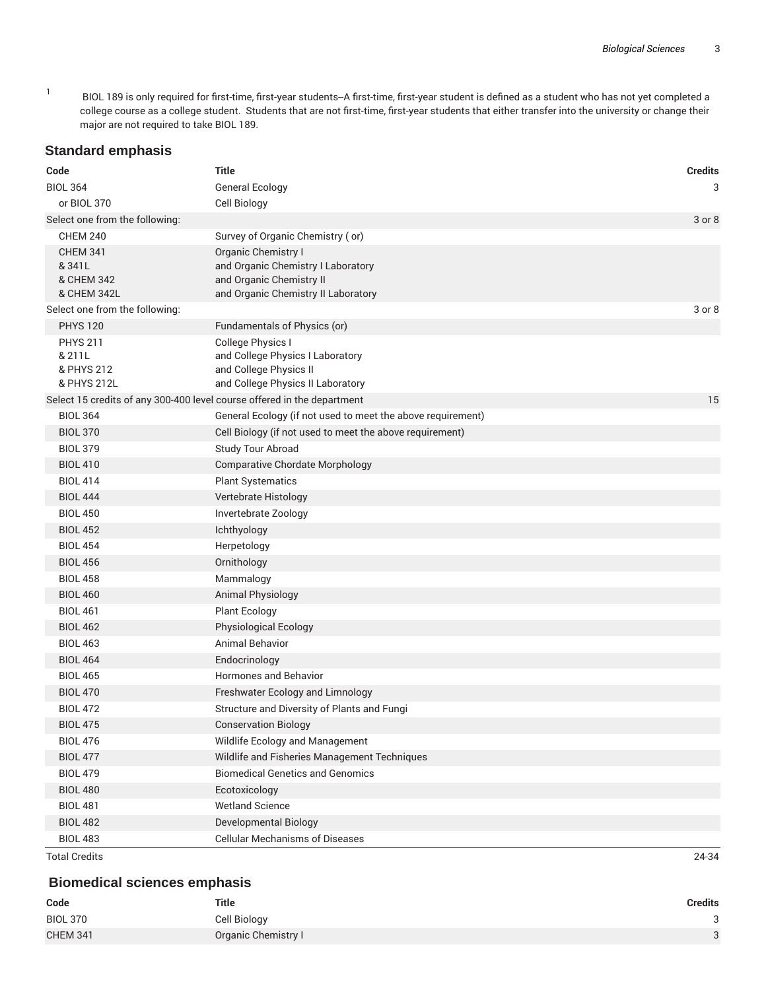1 BIOL 189 is only required for first-time, first-year students--A first-time, first-year student is defined as a student who has not yet completed a college course as a college student. Students that are not first-time, first-year students that either transfer into the university or change their major are not required to take BIOL 189.

#### **Standard emphasis**

| Code                                                                    | <b>Title</b>                                                | <b>Credits</b> |
|-------------------------------------------------------------------------|-------------------------------------------------------------|----------------|
| <b>BIOL 364</b>                                                         | <b>General Ecology</b>                                      | 3              |
| or BIOL 370                                                             | Cell Biology                                                |                |
| Select one from the following:                                          |                                                             | 3 or 8         |
| <b>CHEM 240</b>                                                         | Survey of Organic Chemistry (or)                            |                |
| <b>CHEM 341</b>                                                         | Organic Chemistry I                                         |                |
| & 341L                                                                  | and Organic Chemistry I Laboratory                          |                |
| & CHEM 342<br>& CHEM 342L                                               | and Organic Chemistry II                                    |                |
| Select one from the following:                                          | and Organic Chemistry II Laboratory                         | 3 or 8         |
| <b>PHYS 120</b>                                                         | Fundamentals of Physics (or)                                |                |
| <b>PHYS 211</b>                                                         | College Physics I                                           |                |
| & 211L                                                                  | and College Physics I Laboratory                            |                |
| & PHYS 212                                                              | and College Physics II                                      |                |
| & PHYS 212L                                                             | and College Physics II Laboratory                           |                |
| Select 15 credits of any 300-400 level course offered in the department |                                                             | 15             |
| <b>BIOL 364</b>                                                         | General Ecology (if not used to meet the above requirement) |                |
| <b>BIOL 370</b>                                                         | Cell Biology (if not used to meet the above requirement)    |                |
| <b>BIOL 379</b>                                                         | Study Tour Abroad                                           |                |
| <b>BIOL 410</b>                                                         | <b>Comparative Chordate Morphology</b>                      |                |
| <b>BIOL 414</b>                                                         | <b>Plant Systematics</b>                                    |                |
| <b>BIOL 444</b>                                                         | Vertebrate Histology                                        |                |
| <b>BIOL 450</b>                                                         | Invertebrate Zoology                                        |                |
| <b>BIOL 452</b>                                                         | Ichthyology                                                 |                |
| <b>BIOL 454</b>                                                         | Herpetology                                                 |                |
| <b>BIOL 456</b>                                                         | Ornithology                                                 |                |
| <b>BIOL 458</b>                                                         | Mammalogy                                                   |                |
| <b>BIOL 460</b>                                                         | <b>Animal Physiology</b>                                    |                |
| <b>BIOL 461</b>                                                         | <b>Plant Ecology</b>                                        |                |
| <b>BIOL 462</b>                                                         | Physiological Ecology                                       |                |
| <b>BIOL 463</b>                                                         | Animal Behavior                                             |                |
| <b>BIOL 464</b>                                                         | Endocrinology                                               |                |
| <b>BIOL 465</b>                                                         | Hormones and Behavior                                       |                |
| <b>BIOL 470</b>                                                         | Freshwater Ecology and Limnology                            |                |
| <b>BIOL 472</b>                                                         | Structure and Diversity of Plants and Fungi                 |                |
| <b>BIOL 475</b>                                                         | <b>Conservation Biology</b>                                 |                |
| <b>BIOL 476</b>                                                         | Wildlife Ecology and Management                             |                |
| <b>BIOL 477</b>                                                         | Wildlife and Fisheries Management Techniques                |                |
| <b>BIOL 479</b>                                                         | <b>Biomedical Genetics and Genomics</b>                     |                |
| <b>BIOL 480</b>                                                         | Ecotoxicology                                               |                |
| <b>BIOL 481</b>                                                         | <b>Wetland Science</b>                                      |                |
| <b>BIOL 482</b>                                                         | <b>Developmental Biology</b>                                |                |
| <b>BIOL 483</b>                                                         | <b>Cellular Mechanisms of Diseases</b>                      |                |

Total Credits 24-34

## **Biomedical sciences emphasis**

| Code            | <b>Title</b>        | Credits |
|-----------------|---------------------|---------|
| <b>BIOL 370</b> | Cell Biology        | $\sim$  |
| <b>CHEM 341</b> | Organic Chemistry I | $\circ$ |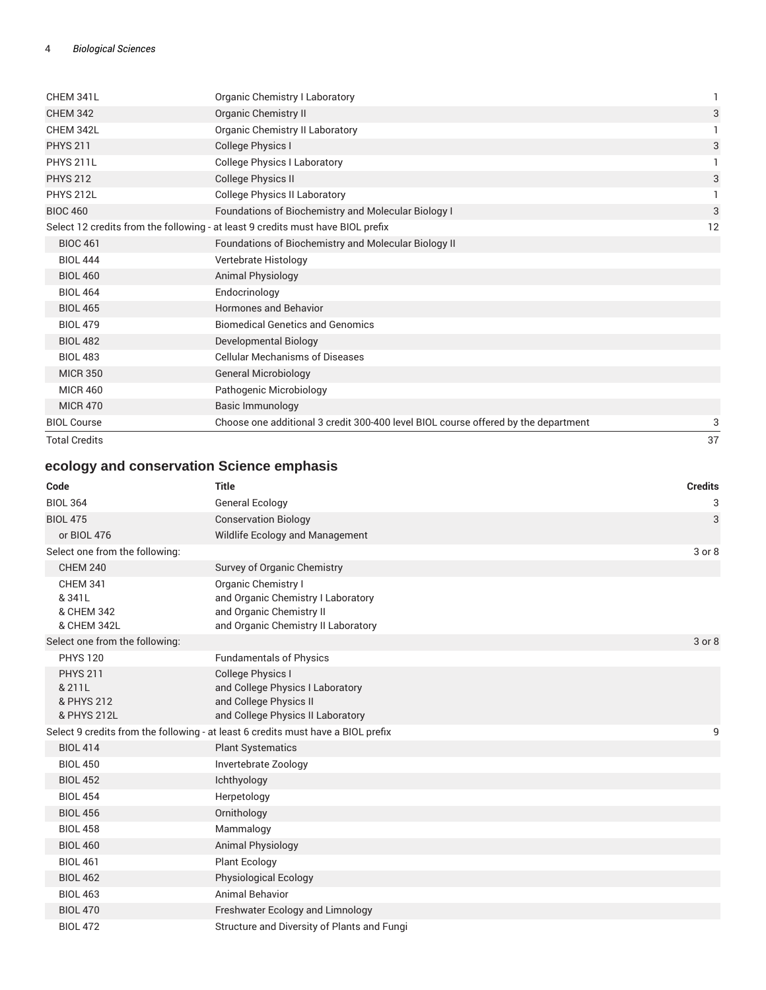| CHEM 341L            | Organic Chemistry I Laboratory                                                     | 1  |
|----------------------|------------------------------------------------------------------------------------|----|
| <b>CHEM 342</b>      | <b>Organic Chemistry II</b>                                                        | 3  |
| CHEM 342L            | Organic Chemistry II Laboratory                                                    |    |
| <b>PHYS 211</b>      | College Physics I                                                                  | 3  |
| <b>PHYS 211L</b>     | <b>College Physics I Laboratory</b>                                                |    |
| <b>PHYS 212</b>      | <b>College Physics II</b>                                                          | 3  |
| <b>PHYS 212L</b>     | <b>College Physics II Laboratory</b>                                               |    |
| <b>BIOC 460</b>      | Foundations of Biochemistry and Molecular Biology I                                | 3  |
|                      | Select 12 credits from the following - at least 9 credits must have BIOL prefix    | 12 |
| <b>BIOC 461</b>      | Foundations of Biochemistry and Molecular Biology II                               |    |
| <b>BIOL 444</b>      | Vertebrate Histology                                                               |    |
| <b>BIOL 460</b>      | <b>Animal Physiology</b>                                                           |    |
| <b>BIOL 464</b>      | Endocrinology                                                                      |    |
| <b>BIOL 465</b>      | <b>Hormones and Behavior</b>                                                       |    |
| <b>BIOL 479</b>      | <b>Biomedical Genetics and Genomics</b>                                            |    |
| <b>BIOL 482</b>      | Developmental Biology                                                              |    |
| <b>BIOL 483</b>      | <b>Cellular Mechanisms of Diseases</b>                                             |    |
| <b>MICR 350</b>      | <b>General Microbiology</b>                                                        |    |
| <b>MICR 460</b>      | Pathogenic Microbiology                                                            |    |
| <b>MICR 470</b>      | Basic Immunology                                                                   |    |
| <b>BIOL Course</b>   | Choose one additional 3 credit 300-400 level BIOL course offered by the department | 3  |
| <b>Total Credits</b> |                                                                                    | 37 |

# **ecology and conservation Science emphasis**

| Code                                                   | <b>Title</b>                                                                                                                 | <b>Credits</b> |
|--------------------------------------------------------|------------------------------------------------------------------------------------------------------------------------------|----------------|
| <b>BIOL 364</b>                                        | <b>General Ecology</b>                                                                                                       | 3              |
| <b>BIOL 475</b>                                        | <b>Conservation Biology</b>                                                                                                  | 3              |
| or BIOL 476                                            | Wildlife Ecology and Management                                                                                              |                |
| Select one from the following:                         |                                                                                                                              | 3 or 8         |
| <b>CHEM 240</b>                                        | Survey of Organic Chemistry                                                                                                  |                |
| <b>CHEM 341</b><br>& 341L<br>& CHEM 342<br>& CHEM 342L | Organic Chemistry I<br>and Organic Chemistry I Laboratory<br>and Organic Chemistry II<br>and Organic Chemistry II Laboratory |                |
| Select one from the following:                         |                                                                                                                              | 3 or 8         |
| <b>PHYS 120</b>                                        | <b>Fundamentals of Physics</b>                                                                                               |                |
| <b>PHYS 211</b><br>& 211L<br>& PHYS 212<br>& PHYS 212L | <b>College Physics I</b><br>and College Physics I Laboratory<br>and College Physics II<br>and College Physics II Laboratory  |                |
|                                                        | Select 9 credits from the following - at least 6 credits must have a BIOL prefix                                             | 9              |
| <b>BIOL 414</b>                                        | <b>Plant Systematics</b>                                                                                                     |                |
| <b>BIOL 450</b>                                        | Invertebrate Zoology                                                                                                         |                |
| <b>BIOL 452</b>                                        | Ichthyology                                                                                                                  |                |
| <b>BIOL 454</b>                                        | Herpetology                                                                                                                  |                |
| <b>BIOL 456</b>                                        | Ornithology                                                                                                                  |                |
| <b>BIOL 458</b>                                        | Mammalogy                                                                                                                    |                |
| <b>BIOL 460</b>                                        | <b>Animal Physiology</b>                                                                                                     |                |
| <b>BIOL 461</b>                                        | <b>Plant Ecology</b>                                                                                                         |                |
| <b>BIOL 462</b>                                        | <b>Physiological Ecology</b>                                                                                                 |                |
| <b>BIOL 463</b>                                        | Animal Behavior                                                                                                              |                |
| <b>BIOL 470</b>                                        | Freshwater Ecology and Limnology                                                                                             |                |
| <b>BIOL 472</b>                                        | Structure and Diversity of Plants and Fungi                                                                                  |                |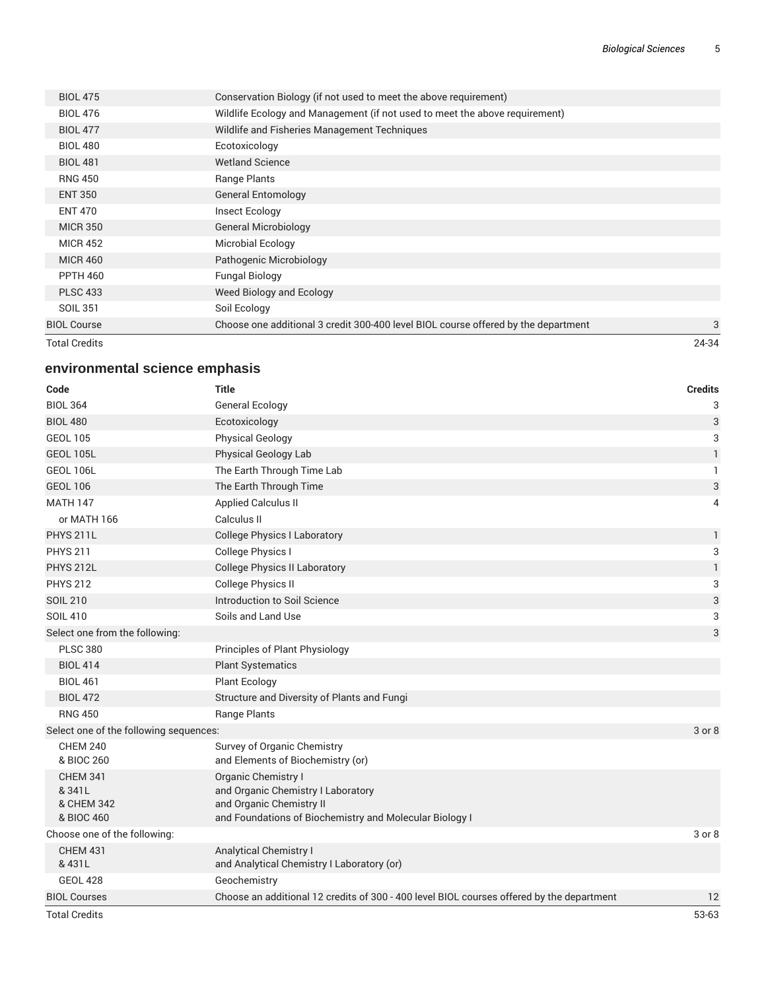| Total Credits      |                                                                                    | 24-34 |
|--------------------|------------------------------------------------------------------------------------|-------|
| <b>BIOL Course</b> | Choose one additional 3 credit 300-400 level BIOL course offered by the department | 3     |
| SOIL 351           | Soil Ecology                                                                       |       |
| <b>PLSC 433</b>    | Weed Biology and Ecology                                                           |       |
| <b>PPTH 460</b>    | <b>Fungal Biology</b>                                                              |       |
| <b>MICR 460</b>    | Pathogenic Microbiology                                                            |       |
| <b>MICR 452</b>    | Microbial Ecology                                                                  |       |
| <b>MICR 350</b>    | <b>General Microbiology</b>                                                        |       |
| <b>ENT 470</b>     | Insect Ecology                                                                     |       |
| <b>ENT 350</b>     | <b>General Entomology</b>                                                          |       |
| <b>RNG 450</b>     | Range Plants                                                                       |       |
| <b>BIOL 481</b>    | <b>Wetland Science</b>                                                             |       |
| <b>BIOL 480</b>    | Ecotoxicology                                                                      |       |
| <b>BIOL 477</b>    | Wildlife and Fisheries Management Techniques                                       |       |
| <b>BIOL 476</b>    | Wildlife Ecology and Management (if not used to meet the above requirement)        |       |
| <b>BIOL 475</b>    | Conservation Biology (if not used to meet the above requirement)                   |       |
|                    |                                                                                    |       |

## **environmental science emphasis**

| Code                                                  | <b>Title</b>                                                                                                                                            | <b>Credits</b>            |
|-------------------------------------------------------|---------------------------------------------------------------------------------------------------------------------------------------------------------|---------------------------|
| <b>BIOL 364</b>                                       | <b>General Ecology</b>                                                                                                                                  | 3                         |
| <b>BIOL 480</b>                                       | Ecotoxicology                                                                                                                                           | $\mathbf{3}$              |
| <b>GEOL 105</b>                                       | <b>Physical Geology</b>                                                                                                                                 | 3                         |
| <b>GEOL 105L</b>                                      | Physical Geology Lab                                                                                                                                    | $\mathbf{1}$              |
| <b>GEOL 106L</b>                                      | The Earth Through Time Lab                                                                                                                              | 1                         |
| <b>GEOL 106</b>                                       | The Earth Through Time                                                                                                                                  | 3                         |
| <b>MATH 147</b>                                       | <b>Applied Calculus II</b>                                                                                                                              | 4                         |
| or MATH 166                                           | Calculus II                                                                                                                                             |                           |
| <b>PHYS 211L</b>                                      | <b>College Physics I Laboratory</b>                                                                                                                     | $\mathbf{1}$              |
| <b>PHYS 211</b>                                       | College Physics I                                                                                                                                       | 3                         |
| <b>PHYS 212L</b>                                      | <b>College Physics II Laboratory</b>                                                                                                                    | $\mathbf{1}$              |
| <b>PHYS 212</b>                                       | <b>College Physics II</b>                                                                                                                               | 3                         |
| <b>SOIL 210</b>                                       | Introduction to Soil Science                                                                                                                            | $\ensuremath{\mathsf{3}}$ |
| <b>SOIL 410</b>                                       | Soils and Land Use                                                                                                                                      | 3                         |
| Select one from the following:                        |                                                                                                                                                         | $\sqrt{3}$                |
| <b>PLSC 380</b>                                       | Principles of Plant Physiology                                                                                                                          |                           |
| <b>BIOL 414</b>                                       | <b>Plant Systematics</b>                                                                                                                                |                           |
| <b>BIOL 461</b>                                       | <b>Plant Ecology</b>                                                                                                                                    |                           |
| <b>BIOL 472</b>                                       | Structure and Diversity of Plants and Fungi                                                                                                             |                           |
| <b>RNG 450</b>                                        | Range Plants                                                                                                                                            |                           |
| Select one of the following sequences:                |                                                                                                                                                         | 3 or 8                    |
| <b>CHEM 240</b><br>& BIOC 260                         | Survey of Organic Chemistry<br>and Elements of Biochemistry (or)                                                                                        |                           |
| <b>CHEM 341</b><br>& 341L<br>& CHEM 342<br>& BIOC 460 | <b>Organic Chemistry I</b><br>and Organic Chemistry I Laboratory<br>and Organic Chemistry II<br>and Foundations of Biochemistry and Molecular Biology I |                           |
| Choose one of the following:                          |                                                                                                                                                         | 3 or 8                    |
| <b>CHEM 431</b><br>& 431L                             | <b>Analytical Chemistry I</b><br>and Analytical Chemistry I Laboratory (or)                                                                             |                           |
| <b>GEOL 428</b>                                       | Geochemistry                                                                                                                                            |                           |
| <b>BIOL Courses</b>                                   | Choose an additional 12 credits of 300 - 400 level BIOL courses offered by the department                                                               | 12                        |
| <b>Total Credits</b>                                  |                                                                                                                                                         | 53-63                     |